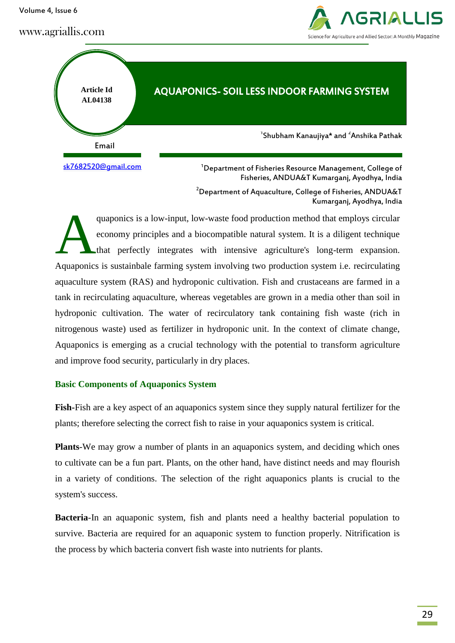Volume 4, Issue 6

www.agriallis.com





Fisheries, ANDUA&T Kumarganj, Ayodhya, India

<sup>2</sup> Department of Aquaculture, College of Fisheries, ANDUA&T Kumarganj, Ayodhya, India

quaponics is a low-input, low-waste food production method that employs circular economy principles and a biocompatible natural system. It is a diligent technique that perfectly integrates with intensive agriculture's long-term expansion. Aquaponics is sustainbale farming system involving two production system i.e. recirculating aquaculture system (RAS) and hydroponic cultivation. Fish and crustaceans are farmed in a tank in recirculating aquaculture, whereas vegetables are grown in a media other than soil in hydroponic cultivation. The water of recirculatory tank containing fish waste (rich in nitrogenous waste) used as fertilizer in hydroponic unit. In the context of climate change, Aquaponics is emerging as a crucial technology with the potential to transform agriculture and improve food security, particularly in dry places. A

# **Basic Components of Aquaponics System**

**Fish-**Fish are a key aspect of an aquaponics system since they supply natural fertilizer for the plants; therefore selecting the correct fish to raise in your aquaponics system is critical.

**Plants**-We may grow a number of plants in an aquaponics system, and deciding which ones to cultivate can be a fun part. Plants, on the other hand, have distinct needs and may flourish in a variety of conditions. The selection of the right aquaponics plants is crucial to the system's success.

**Bacteria**-In an aquaponic system, fish and plants need a healthy bacterial population to survive. Bacteria are required for an aquaponic system to function properly. Nitrification is the process by which bacteria convert fish waste into nutrients for plants.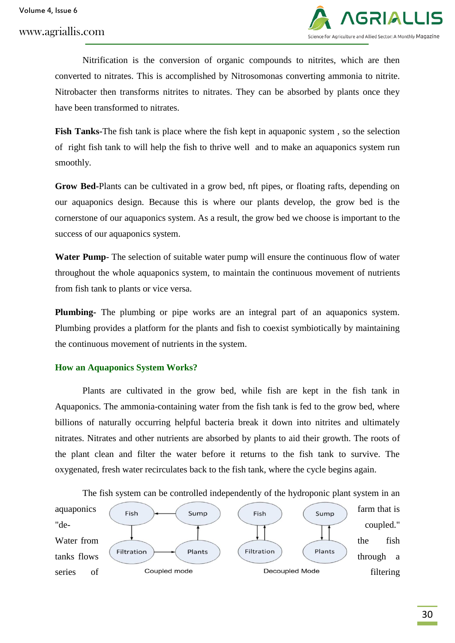

Nitrification is the conversion of organic compounds to nitrites, which are then converted to nitrates. This is accomplished by Nitrosomonas converting ammonia to nitrite. Nitrobacter then transforms nitrites to nitrates. They can be absorbed by plants once they have been transformed to nitrates.

**Fish Tanks-**The [fish tank](https://gogreenaquaponics.com/blogs/news/how-to-choose-the-right-fish-tank-for-aquaponics) is place where the fish kept in aquaponic system , so the selection of right fish tank to will help the fish to thrive well and to make an aquaponics system run smoothly.

**Grow Bed-**Plants can be cultivated in a grow bed, nft pipes, or floating rafts, depending on our aquaponics design. Because this is where our plants develop, the grow bed is the cornerstone of our aquaponics system. As a result, the grow bed we choose is important to the success of our aquaponics system.

**Water Pump**- The selection of suitable water pump will ensure the continuous flow of water throughout the whole aquaponics system, to maintain the continuous movement of nutrients from fish tank to plants or vice versa.

**Plumbing-** The plumbing or pipe works are an integral part of an aquaponics system. Plumbing provides a platform for the plants and fish to coexist symbiotically by maintaining the continuous movement of nutrients in the system.

# **How an Aquaponics System Works?**

Plants are cultivated in the grow bed, while fish are kept in the fish tank in Aquaponics. The ammonia-containing water from the fish tank is fed to the grow bed, where billions of naturally occurring helpful bacteria break it down into nitrites and ultimately nitrates. Nitrates and other nutrients are absorbed by plants to aid their growth. The roots of the plant clean and filter the water before it returns to the fish tank to survive. The oxygenated, fresh water recirculates back to the fish tank, where the cycle begins again.

The fish system can be controlled independently of the hydroponic plant system in an

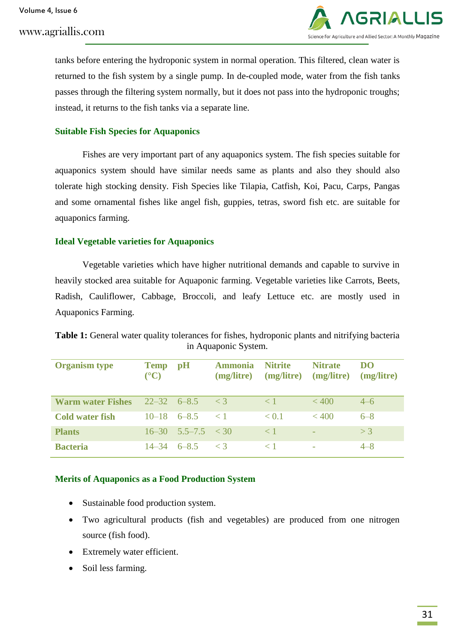

tanks before entering the hydroponic system in normal operation. This filtered, clean water is returned to the fish system by a single pump. In de-coupled mode, water from the fish tanks passes through the filtering system normally, but it does not pass into the hydroponic troughs; instead, it returns to the fish tanks via a separate line.

## **Suitable Fish Species for Aquaponics**

Fishes are very important part of any aquaponics system. The fish species suitable for aquaponics system should have similar needs same as plants and also they should also tolerate high stocking density. Fish Species like Tilapia, Catfish, Koi, Pacu, Carps, Pangas and some ornamental fishes like angel fish, guppies, tetras, sword fish etc. are suitable for aquaponics farming.

#### **Ideal Vegetable varieties for Aquaponics**

Vegetable varieties which have higher nutritional demands and capable to survive in heavily stocked area suitable for Aquaponic farming. Vegetable varieties like Carrots, Beets, Radish, Cauliflower, Cabbage, Broccoli, and leafy Lettuce etc. are mostly used in Aquaponics Farming.

**Table 1:** General water quality tolerances for fishes, hydroponic plants and nitrifying bacteria in Aquaponic System.

| <b>Organism</b> type     | <b>Temp</b><br>$({}^{\circ}{\bf C})$ | pH                         | <b>Ammonia</b><br>(mg/litre) | <b>Nitrite</b><br>(mg/litre) | <b>Nitrate</b><br>(mg/litre) | <b>DO</b><br>(mg/litre) |
|--------------------------|--------------------------------------|----------------------------|------------------------------|------------------------------|------------------------------|-------------------------|
| <b>Warm water Fishes</b> |                                      | $22 - 32$ 6-8.5 < 3        |                              | $\lt 1$                      | < 400                        | $4 - 6$                 |
| <b>Cold water fish</b>   |                                      | $10-18$ 6-8.5 < 1          |                              | < 0.1                        | < 400                        | $6 - 8$                 |
| <b>Plants</b>            |                                      | $16 - 30$ $5.5 - 7.5 < 30$ |                              | $\langle 1$                  |                              | $>$ 3                   |
| <b>Bacteria</b>          |                                      | $14-34$ 6-8.5 < 3          |                              | $\leq 1$                     |                              | $4 - 8$                 |

#### **Merits of Aquaponics as a Food Production System**

- Sustainable food production system.
- Two agricultural products (fish and vegetables) are produced from one nitrogen source (fish food).
- Extremely water efficient.
- Soil less farming.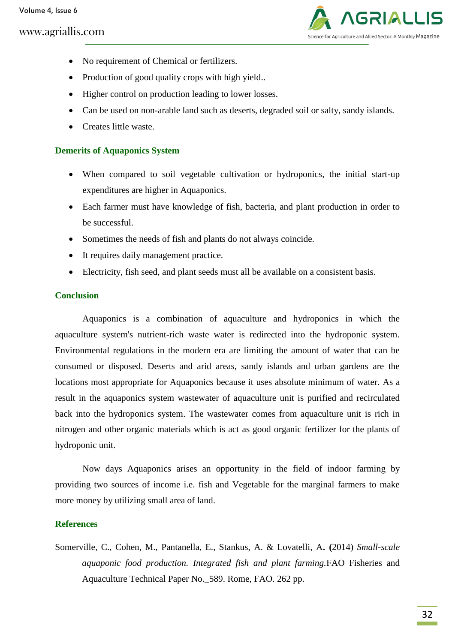# www.agriallis.com



- No requirement of Chemical or fertilizers.
- Production of good quality crops with high yield..
- Higher control on production leading to lower losses.
- Can be used on non-arable land such as deserts, degraded soil or salty, sandy islands.
- Creates little waste.

## **Demerits of Aquaponics System**

- When compared to soil vegetable cultivation or hydroponics, the initial start-up expenditures are higher in Aquaponics.
- Each farmer must have knowledge of fish, bacteria, and plant production in order to be successful.
- Sometimes the needs of fish and plants do not always coincide.
- It requires daily management practice.
- Electricity, fish seed, and plant seeds must all be available on a consistent basis.

#### **Conclusion**

Aquaponics is a combination of aquaculture and hydroponics in which the aquaculture system's nutrient-rich waste water is redirected into the hydroponic system. Environmental regulations in the modern era are limiting the amount of water that can be consumed or disposed. Deserts and arid areas, sandy islands and urban gardens are the locations most appropriate for Aquaponics because it uses absolute minimum of water. As a result in the aquaponics system wastewater of aquaculture unit is purified and recirculated back into the hydroponics system. The wastewater comes from aquaculture unit is rich in nitrogen and other organic materials which is act as good organic fertilizer for the plants of hydroponic unit.

Now days Aquaponics arises an opportunity in the field of indoor farming by providing two sources of income i.e. fish and Vegetable for the marginal farmers to make more money by utilizing small area of land.

#### **References**

Somerville, C., Cohen, M., Pantanella, E., Stankus, A. & Lovatelli, A**. (**2014) *Small-scale aquaponic food production. Integrated fish and plant farming.*FAO Fisheries and Aquaculture Technical Paper No.\_589. Rome, FAO. 262 pp.